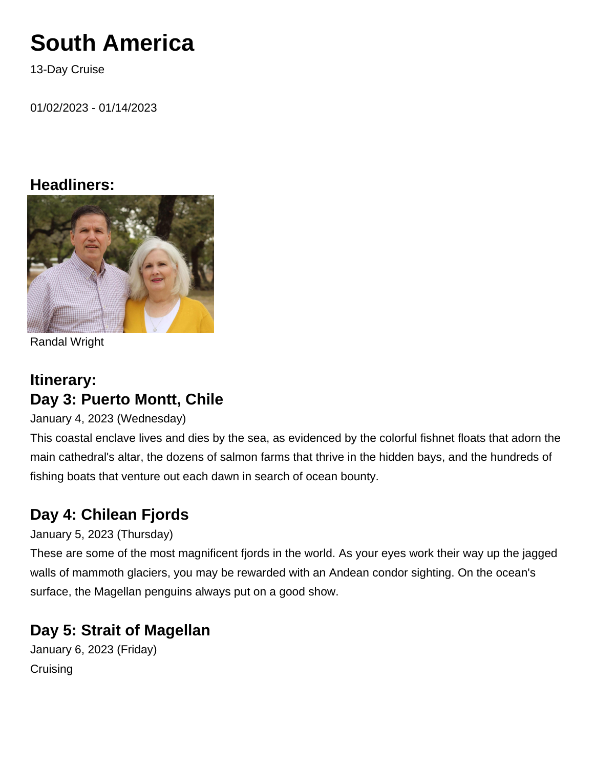# **South America**

13-Day Cruise

01/02/2023 - 01/14/2023

## **Headliners:**



Randal Wright

# **Itinerary: Day 3: Puerto Montt, Chile**

January 4, 2023 (Wednesday)

This coastal enclave lives and dies by the sea, as evidenced by the colorful fishnet floats that adorn the main cathedral's altar, the dozens of salmon farms that thrive in the hidden bays, and the hundreds of fishing boats that venture out each dawn in search of ocean bounty.

# **Day 4: Chilean Fjords**

## January 5, 2023 (Thursday)

These are some of the most magnificent fjords in the world. As your eyes work their way up the jagged walls of mammoth glaciers, you may be rewarded with an Andean condor sighting. On the ocean's surface, the Magellan penguins always put on a good show.

# **Day 5: Strait of Magellan**

January 6, 2023 (Friday) **Cruising**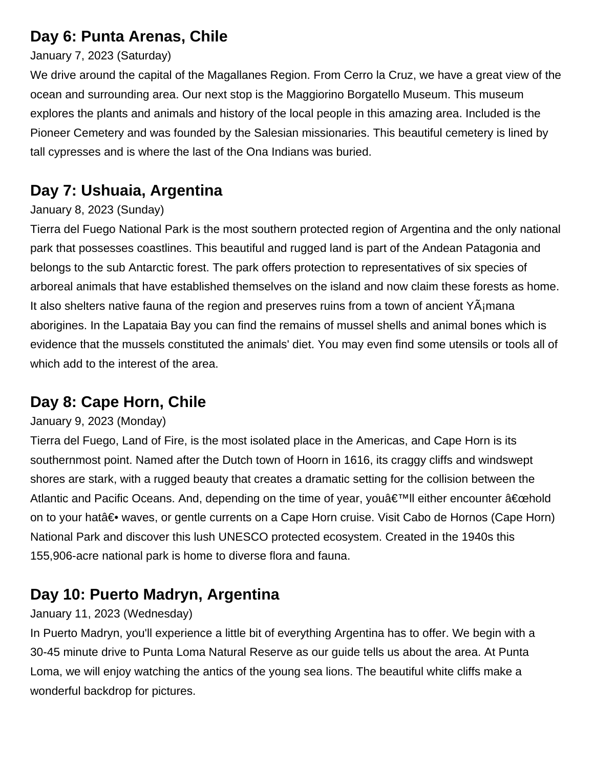# **Day 6: Punta Arenas, Chile**

#### January 7, 2023 (Saturday)

We drive around the capital of the Magallanes Region. From Cerro la Cruz, we have a great view of the ocean and surrounding area. Our next stop is the Maggiorino Borgatello Museum. This museum explores the plants and animals and history of the local people in this amazing area. Included is the Pioneer Cemetery and was founded by the Salesian missionaries. This beautiful cemetery is lined by tall cypresses and is where the last of the Ona Indians was buried.

# **Day 7: Ushuaia, Argentina**

## January 8, 2023 (Sunday)

Tierra del Fuego National Park is the most southern protected region of Argentina and the only national park that possesses coastlines. This beautiful and rugged land is part of the Andean Patagonia and belongs to the sub Antarctic forest. The park offers protection to representatives of six species of arboreal animals that have established themselves on the island and now claim these forests as home. It also shelters native fauna of the region and preserves ruins from a town of ancient  $Y\tilde{A}$  mana aborigines. In the Lapataia Bay you can find the remains of mussel shells and animal bones which is evidence that the mussels constituted the animals' diet. You may even find some utensils or tools all of which add to the interest of the area.

## **Day 8: Cape Horn, Chile**

### January 9, 2023 (Monday)

Tierra del Fuego, Land of Fire, is the most isolated place in the Americas, and Cape Horn is its southernmost point. Named after the Dutch town of Hoorn in 1616, its craggy cliffs and windswept shores are stark, with a rugged beauty that creates a dramatic setting for the collision between the Atlantic and Pacific Oceans. And, depending on the time of year, you $\hat{a} \in \mathbb{R}^n$ ll either encounter  $\hat{a} \in \mathbb{C}$ chold on to your hat― waves, or gentle currents on a Cape Horn cruise. Visit Cabo de Hornos (Cape Horn) National Park and discover this lush UNESCO protected ecosystem. Created in the 1940s this 155,906-acre national park is home to diverse flora and fauna.

# **Day 10: Puerto Madryn, Argentina**

### January 11, 2023 (Wednesday)

In Puerto Madryn, you'll experience a little bit of everything Argentina has to offer. We begin with a 30-45 minute drive to Punta Loma Natural Reserve as our guide tells us about the area. At Punta Loma, we will enjoy watching the antics of the young sea lions. The beautiful white cliffs make a wonderful backdrop for pictures.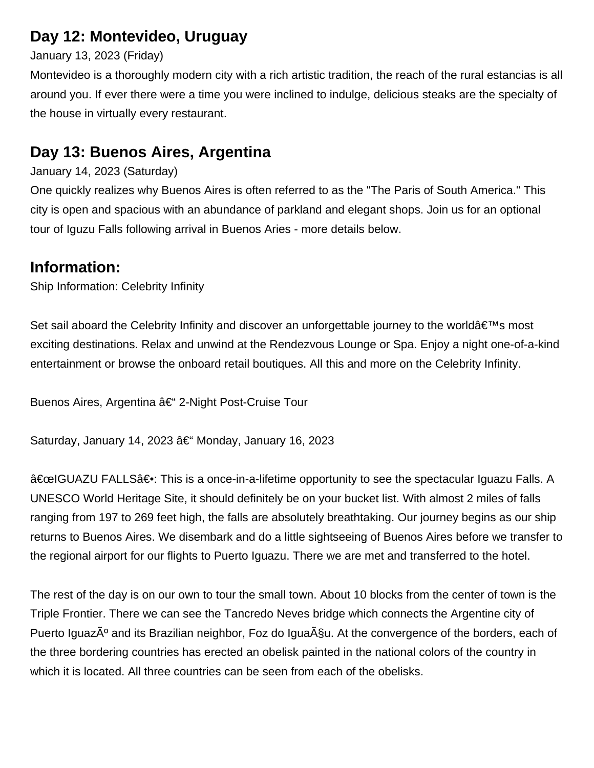# **Day 12: Montevideo, Uruguay**

#### January 13, 2023 (Friday)

Montevideo is a thoroughly modern city with a rich artistic tradition, the reach of the rural estancias is all around you. If ever there were a time you were inclined to indulge, delicious steaks are the specialty of the house in virtually every restaurant.

## **Day 13: Buenos Aires, Argentina**

#### January 14, 2023 (Saturday)

One quickly realizes why Buenos Aires is often referred to as the "The Paris of South America." This city is open and spacious with an abundance of parkland and elegant shops. Join us for an optional tour of Iguzu Falls following arrival in Buenos Aries - more details below.

## **Information:**

Ship Information: Celebrity Infinity

Set sail aboard the Celebrity Infinity and discover an unforgettable journey to the world  $\hat{\mathbf{a}} \in \mathbb{N}$ s most exciting destinations. Relax and unwind at the Rendezvous Lounge or Spa. Enjoy a night one-of-a-kind entertainment or browse the onboard retail boutiques. All this and more on the Celebrity Infinity.

Buenos Aires, Argentina †2-Night Post-Cruise Tour

Saturday, January 14, 2023  $\hat{a} \in \mathcal{C}$  Monday, January 16, 2023

"IGUAZU FALLS―: This is a once-in-a-lifetime opportunity to see the spectacular Iguazu Falls. A UNESCO World Heritage Site, it should definitely be on your bucket list. With almost 2 miles of falls ranging from 197 to 269 feet high, the falls are absolutely breathtaking. Our journey begins as our ship returns to Buenos Aires. We disembark and do a little sightseeing of Buenos Aires before we transfer to the regional airport for our flights to Puerto Iguazu. There we are met and transferred to the hotel.

The rest of the day is on our own to tour the small town. About 10 blocks from the center of town is the Triple Frontier. There we can see the Tancredo Neves bridge which connects the Argentine city of Puerto Iguaz $\tilde{A}^{\circ}$  and its Brazilian neighbor, Foz do Igua $\tilde{A}^{\circ}$ su. At the convergence of the borders, each of the three bordering countries has erected an obelisk painted in the national colors of the country in which it is located. All three countries can be seen from each of the obelisks.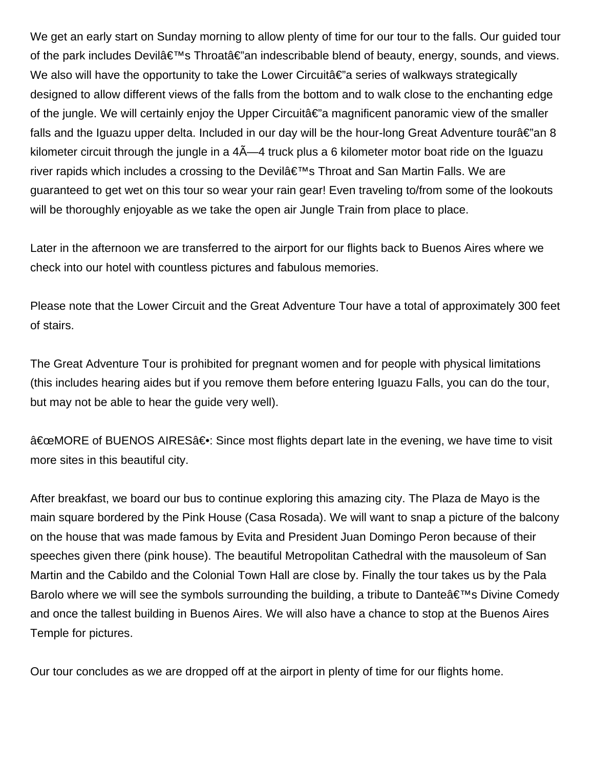We get an early start on Sunday morning to allow plenty of time for our tour to the falls. Our guided tour of the park includes Devilâ $\epsilon_{\text{M}}$ s Throatâ $\epsilon_{\text{M}}$  indescribable blend of beauty, energy, sounds, and views. We also will have the opportunity to take the Lower Circuita  $\varepsilon$ " a series of walkways strategically designed to allow different views of the falls from the bottom and to walk close to the enchanting edge of the jungle. We will certainly enjoy the Upper Circuit $a \in \mathbb{Z}$  magnificent panoramic view of the smaller falls and the Iguazu upper delta. Included in our day will be the hour-long Great Adventure tourâ $\epsilon$ "an 8 kilometer circuit through the jungle in a  $4\tilde{A}$ —4 truck plus a 6 kilometer motor boat ride on the Iguazu river rapids which includes a crossing to the Devil $\hat{a} \in \mathbb{R}^{n}$ s Throat and San Martin Falls. We are guaranteed to get wet on this tour so wear your rain gear! Even traveling to/from some of the lookouts will be thoroughly enjoyable as we take the open air Jungle Train from place to place.

Later in the afternoon we are transferred to the airport for our flights back to Buenos Aires where we check into our hotel with countless pictures and fabulous memories.

Please note that the Lower Circuit and the Great Adventure Tour have a total of approximately 300 feet of stairs.

The Great Adventure Tour is prohibited for pregnant women and for people with physical limitations (this includes hearing aides but if you remove them before entering Iguazu Falls, you can do the tour, but may not be able to hear the guide very well).

"MORE of BUENOS AIRES―: Since most flights depart late in the evening, we have time to visit more sites in this beautiful city.

After breakfast, we board our bus to continue exploring this amazing city. The Plaza de Mayo is the main square bordered by the Pink House (Casa Rosada). We will want to snap a picture of the balcony on the house that was made famous by Evita and President Juan Domingo Peron because of their speeches given there (pink house). The beautiful Metropolitan Cathedral with the mausoleum of San Martin and the Cabildo and the Colonial Town Hall are close by. Finally the tour takes us by the Pala Barolo where we will see the symbols surrounding the building, a tribute to Dante  $\hat{\mathbf{a}} \in \mathbb{N}$  Divine Comedy and once the tallest building in Buenos Aires. We will also have a chance to stop at the Buenos Aires Temple for pictures.

Our tour concludes as we are dropped off at the airport in plenty of time for our flights home.